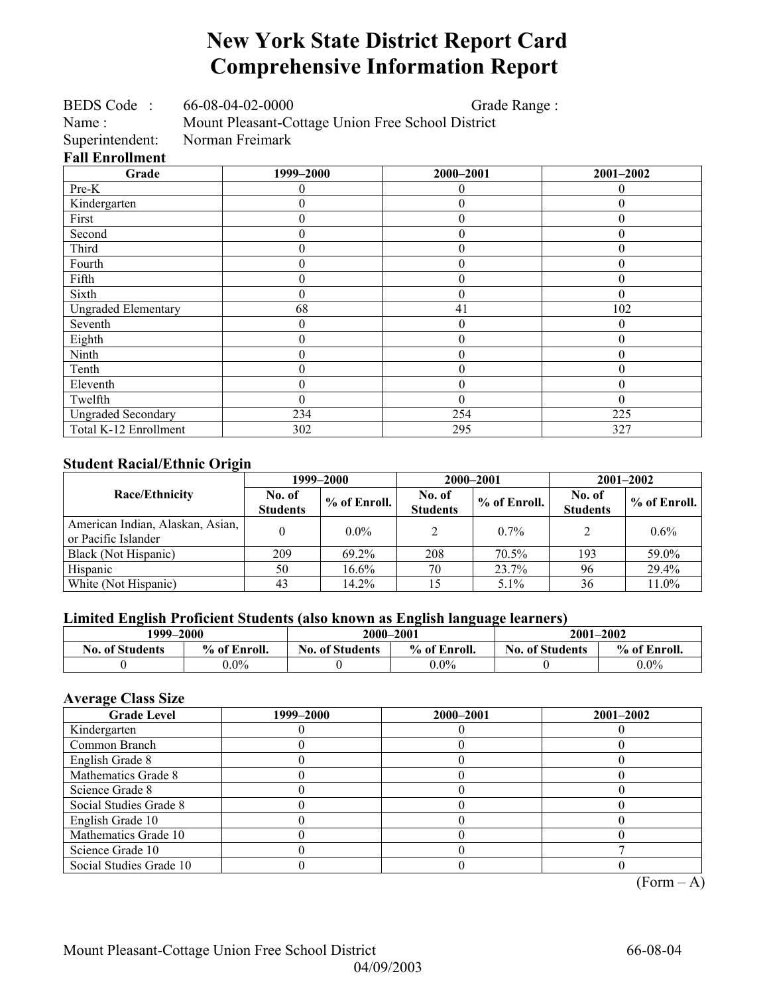## **New York State District Report Card Comprehensive Information Report**

| BEDS Code: 66-08-04-02-0000 |                                                   | Grade Range:     |           |  |
|-----------------------------|---------------------------------------------------|------------------|-----------|--|
| Name:                       | Mount Pleasant-Cottage Union Free School District |                  |           |  |
| Superintendent:             | Norman Freimark                                   |                  |           |  |
| <b>Fall Enrollment</b>      |                                                   |                  |           |  |
| Grade                       | 1999–2000                                         | 2000-2001        | 2001-2002 |  |
| Pre-K                       | 0                                                 | 0                | 0         |  |
| Kindergarten                | 0                                                 | $\theta$         | 0         |  |
| First                       | 0                                                 | $\theta$         | 0         |  |
| Second                      | 0                                                 | $\overline{0}$   | 0         |  |
| Third                       | 0                                                 | $\theta$         | $\theta$  |  |
| Fourth                      | $\boldsymbol{0}$                                  | $\overline{0}$   | $\theta$  |  |
| Fifth                       | 0                                                 | $\overline{0}$   | 0         |  |
| Sixth                       | $\boldsymbol{0}$                                  | $\theta$         | $\theta$  |  |
| <b>Ungraded Elementary</b>  | 68                                                | 41               | 102       |  |
| Seventh                     | $\overline{0}$                                    | $\overline{0}$   | 0         |  |
| Eighth                      | $\overline{0}$                                    | $\overline{0}$   | $\theta$  |  |
| Ninth                       | 0                                                 | $\overline{0}$   | 0         |  |
| Tenth                       | 0                                                 | $\boldsymbol{0}$ | 0         |  |
| Eleventh                    | $\theta$                                          | $\overline{0}$   | $\theta$  |  |
| Twelfth                     | $\boldsymbol{0}$                                  | $\theta$         | $\theta$  |  |
| <b>Ungraded Secondary</b>   | 234                                               | 254              | 225       |  |
| Total K-12 Enrollment       | 302                                               | 295              | 327       |  |

### **Student Racial/Ethnic Origin**

|                                                         |                           | 1999–2000    | 2000-2001                 |              | $2001 - 2002$             |                |  |
|---------------------------------------------------------|---------------------------|--------------|---------------------------|--------------|---------------------------|----------------|--|
| <b>Race/Ethnicity</b>                                   | No. of<br><b>Students</b> | % of Enroll. | No. of<br><b>Students</b> | % of Enroll. | No. of<br><b>Students</b> | $%$ of Enroll. |  |
| American Indian, Alaskan, Asian,<br>or Pacific Islander |                           | $0.0\%$      |                           | $0.7\%$      |                           | $0.6\%$        |  |
| Black (Not Hispanic)                                    | 209                       | 69.2%        | 208                       | 70.5%        | 193                       | 59.0%          |  |
| Hispanic                                                | 50                        | $16.6\%$     | 70                        | 23.7%        | 96                        | 29.4%          |  |
| White (Not Hispanic)                                    | 43                        | 14.2%        |                           | 5.1%         | 36                        | 11.0%          |  |

### **Limited English Proficient Students (also known as English language learners)**

| 1999–2000              |              | 2000-2001                              |         | $2001 - 2002$          |              |
|------------------------|--------------|----------------------------------------|---------|------------------------|--------------|
| <b>No. of Students</b> | % of Enroll. | % of Enroll.<br><b>No. of Students</b> |         | <b>No. of Students</b> | % of Enroll. |
|                        | $0.0\%$      |                                        | $0.0\%$ |                        | $0.0\%$      |

### **Average Class Size**

| <b>Grade Level</b>      | 1999–2000 | 2000-2001 | $2001 - 2002$ |
|-------------------------|-----------|-----------|---------------|
| Kindergarten            |           |           |               |
| Common Branch           |           |           |               |
| English Grade 8         |           |           |               |
| Mathematics Grade 8     |           |           |               |
| Science Grade 8         |           |           |               |
| Social Studies Grade 8  |           |           |               |
| English Grade 10        |           |           |               |
| Mathematics Grade 10    |           |           |               |
| Science Grade 10        |           |           |               |
| Social Studies Grade 10 |           |           |               |

 $(Form – A)$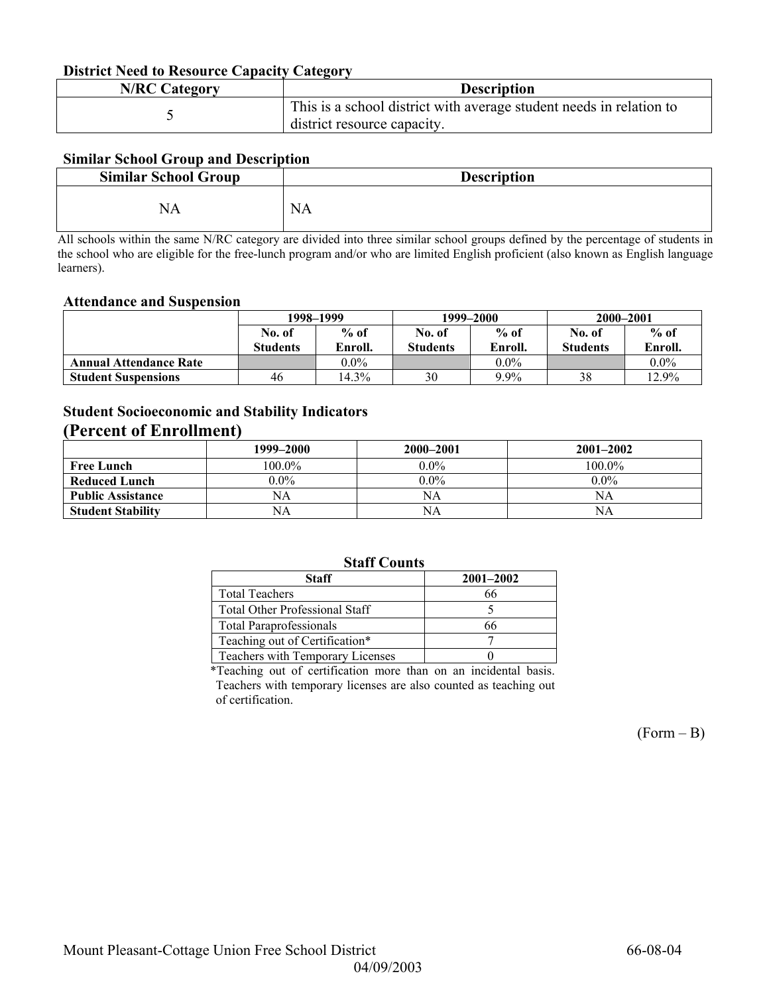#### **District Need to Resource Capacity Category**

| <b>N/RC Category</b> | <b>Description</b>                                                                                 |
|----------------------|----------------------------------------------------------------------------------------------------|
|                      | This is a school district with average student needs in relation to<br>district resource capacity. |

### **Similar School Group and Description**

| <b>Similar School Group</b> | <b>Description</b> |
|-----------------------------|--------------------|
|                             | <b>NA</b>          |

All schools within the same N/RC category are divided into three similar school groups defined by the percentage of students in the school who are eligible for the free-lunch program and/or who are limited English proficient (also known as English language learners).

#### **Attendance and Suspension**

|                               | 1998–1999       |         |                 | 1999–2000 | 2000-2001       |         |
|-------------------------------|-----------------|---------|-----------------|-----------|-----------------|---------|
|                               | No. of          | $%$ of  | No. of          | $%$ of    | No. of          | $%$ of  |
|                               | <b>Students</b> | Enroll. | <b>Students</b> | Enroll.   | <b>Students</b> | Enroll. |
| <b>Annual Attendance Rate</b> |                 | $0.0\%$ |                 | $0.0\%$   |                 | $0.0\%$ |
| <b>Student Suspensions</b>    | 46              | 14.3%   | 30              | 9.9%      | 38              | 12.9%   |

### **Student Socioeconomic and Stability Indicators**

### **(Percent of Enrollment)**

|                          | 1999–2000 | 2000–2001 | $2001 - 2002$ |
|--------------------------|-----------|-----------|---------------|
| <b>Free Lunch</b>        | 100.0%    | $0.0\%$   | 100.0%        |
| <b>Reduced Lunch</b>     | $0.0\%$   | $0.0\%$   | $0.0\%$       |
| <b>Public Assistance</b> | NA        | NA        | NA            |
| <b>Student Stability</b> | NA        | NA        | NΑ            |

### **Staff Counts**

| <b>Staff</b>                            | $2001 - 2002$ |  |  |  |  |
|-----------------------------------------|---------------|--|--|--|--|
| <b>Total Teachers</b>                   | 66            |  |  |  |  |
| Total Other Professional Staff          |               |  |  |  |  |
| <b>Total Paraprofessionals</b>          | 66            |  |  |  |  |
| Teaching out of Certification*          |               |  |  |  |  |
| <b>Teachers with Temporary Licenses</b> |               |  |  |  |  |
|                                         |               |  |  |  |  |

\*Teaching out of certification more than on an incidental basis. Teachers with temporary licenses are also counted as teaching out of certification.

 $(Form - B)$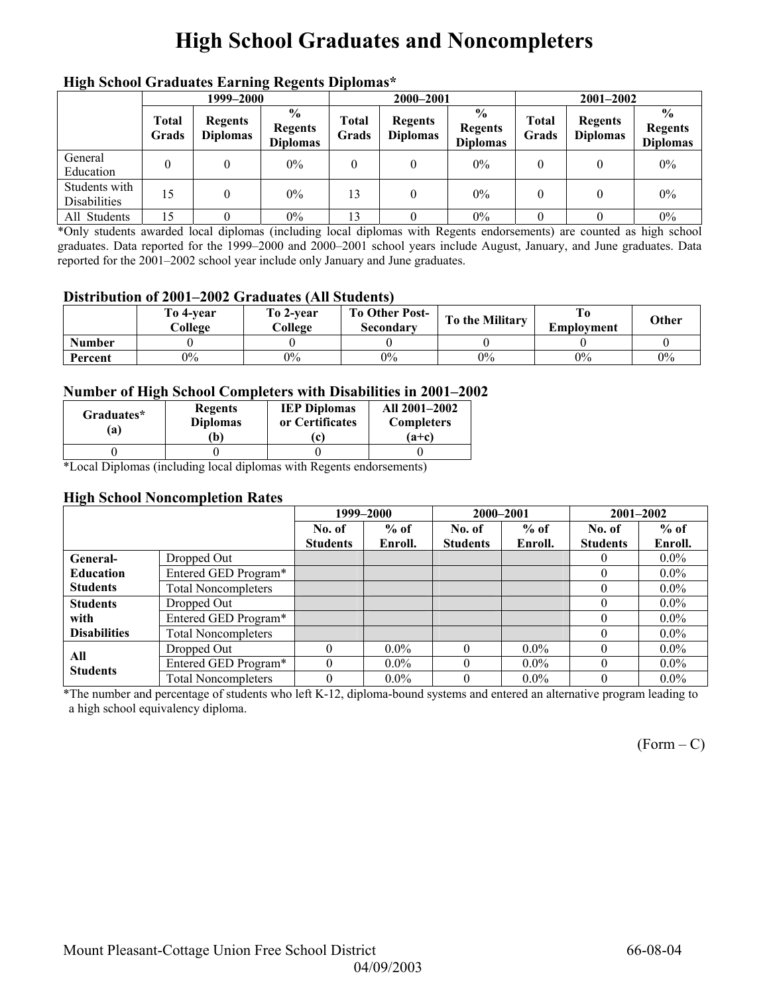## **High School Graduates and Noncompleters**

|                               | mga senyor sragaato narang regents Dipromas<br>1999–2000 |                                   |                                                     |                       | 2000-2001                         |                                                    |                | $2001 - 2002$                     |                                                    |
|-------------------------------|----------------------------------------------------------|-----------------------------------|-----------------------------------------------------|-----------------------|-----------------------------------|----------------------------------------------------|----------------|-----------------------------------|----------------------------------------------------|
|                               | <b>Total</b><br>Grads                                    | <b>Regents</b><br><b>Diplomas</b> | $\frac{6}{10}$<br><b>Regents</b><br><b>Diplomas</b> | <b>Total</b><br>Grads | <b>Regents</b><br><b>Diplomas</b> | $\frac{0}{0}$<br><b>Regents</b><br><b>Diplomas</b> | Total<br>Grads | <b>Regents</b><br><b>Diplomas</b> | $\frac{0}{0}$<br><b>Regents</b><br><b>Diplomas</b> |
| General<br>Education          |                                                          |                                   | $0\%$                                               | 0                     |                                   | $0\%$                                              | 0              |                                   | $0\%$                                              |
| Students with<br>Disabilities | 15                                                       |                                   | $0\%$                                               | 13                    | $\theta$                          | $0\%$                                              | $\theta$       |                                   | $0\%$                                              |
| All Students                  | 15                                                       |                                   | 0%                                                  | 13                    |                                   | $0\%$                                              |                |                                   | $0\%$                                              |

### **High School Graduates Earning Regents Diplomas\***

\*Only students awarded local diplomas (including local diplomas with Regents endorsements) are counted as high school graduates. Data reported for the 1999–2000 and 2000–2001 school years include August, January, and June graduates. Data reported for the 2001–2002 school year include only January and June graduates.

#### **Distribution of 2001–2002 Graduates (All Students)**

|               | To 4-vear<br>College | To 2-year<br>College | <b>To Other Post-</b><br>Secondary | <b>To the Military</b> | Emplovment | Other |
|---------------|----------------------|----------------------|------------------------------------|------------------------|------------|-------|
| <b>Number</b> |                      |                      |                                    |                        |            |       |
| Percent       | $0\%$                | 0%                   | $0\%$                              | $0\%$                  | $0\%$      | 0%    |

#### **Number of High School Completers with Disabilities in 2001–2002**

| Graduates*<br>$\mathbf{a}$ | <b>Regents</b><br><b>Diplomas</b><br>$\mathbf{b}$ | <b>IEP Diplomas</b><br>or Certificates<br>l C | All 2001-2002<br><b>Completers</b><br>$(a+c)$ |
|----------------------------|---------------------------------------------------|-----------------------------------------------|-----------------------------------------------|
|                            |                                                   |                                               |                                               |

\*Local Diplomas (including local diplomas with Regents endorsements)

#### **High School Noncompletion Rates**

|                     |                            |                 | 1999-2000 | 2000-2001       |         |                 | $2001 - 2002$ |  |
|---------------------|----------------------------|-----------------|-----------|-----------------|---------|-----------------|---------------|--|
|                     |                            | No. of          | $%$ of    | No. of          | $%$ of  | No. of          | $%$ of        |  |
|                     |                            | <b>Students</b> | Enroll.   | <b>Students</b> | Enroll. | <b>Students</b> | Enroll.       |  |
| General-            | Dropped Out                |                 |           |                 |         | $\left($        | $0.0\%$       |  |
| <b>Education</b>    | Entered GED Program*       |                 |           |                 |         | $\Omega$        | $0.0\%$       |  |
| <b>Students</b>     | <b>Total Noncompleters</b> |                 |           |                 |         | $\theta$        | $0.0\%$       |  |
| <b>Students</b>     | Dropped Out                |                 |           |                 |         | $\Omega$        | $0.0\%$       |  |
| with                | Entered GED Program*       |                 |           |                 |         |                 | $0.0\%$       |  |
| <b>Disabilities</b> | <b>Total Noncompleters</b> |                 |           |                 |         |                 | $0.0\%$       |  |
| All                 | Dropped Out                |                 | $0.0\%$   |                 | $0.0\%$ |                 | $0.0\%$       |  |
| <b>Students</b>     | Entered GED Program*       |                 | $0.0\%$   |                 | $0.0\%$ | $\theta$        | $0.0\%$       |  |
|                     | <b>Total Noncompleters</b> |                 | $0.0\%$   |                 | $0.0\%$ | 0               | $0.0\%$       |  |

\*The number and percentage of students who left K-12, diploma-bound systems and entered an alternative program leading to a high school equivalency diploma.

 $(Form - C)$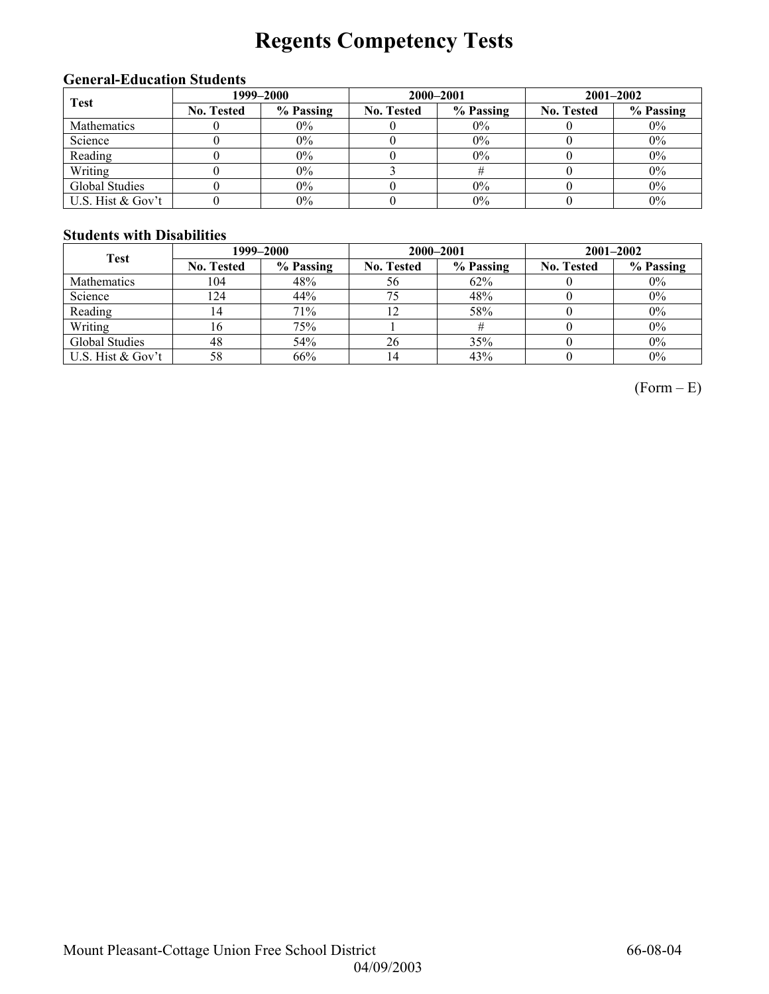# **Regents Competency Tests**

### **General-Education Students**

| <b>Test</b>       | 1999–2000         |           |                   | 2000-2001 | $2001 - 2002$     |           |  |
|-------------------|-------------------|-----------|-------------------|-----------|-------------------|-----------|--|
|                   | <b>No. Tested</b> | % Passing | <b>No. Tested</b> | % Passing | <b>No. Tested</b> | % Passing |  |
| Mathematics       |                   | $0\%$     |                   | $0\%$     |                   | $0\%$     |  |
| Science           |                   | $0\%$     |                   | $0\%$     |                   | $0\%$     |  |
| Reading           |                   | 0%        |                   | 0%        |                   | $0\%$     |  |
| Writing           |                   | 0%        |                   |           |                   | $0\%$     |  |
| Global Studies    |                   | $0\%$     |                   | 0%        |                   | $0\%$     |  |
| U.S. Hist & Gov't |                   | 0%        |                   | 0%        |                   | $0\%$     |  |

### **Students with Disabilities**

| <b>Test</b>       | 1999–2000         |           |                   | 2000-2001 | $2001 - 2002$     |           |  |
|-------------------|-------------------|-----------|-------------------|-----------|-------------------|-----------|--|
|                   | <b>No. Tested</b> | % Passing | <b>No. Tested</b> | % Passing | <b>No. Tested</b> | % Passing |  |
| Mathematics       | 104               | 48%       | 56                | 62%       |                   | $0\%$     |  |
| Science           | 124               | 44%       | 75                | 48%       |                   | $0\%$     |  |
| Reading           | ۱4                | 71%       | 12                | 58%       |                   | $0\%$     |  |
| Writing           | 16                | 75%       |                   |           |                   | $0\%$     |  |
| Global Studies    | 48                | 54%       | 26                | 35%       |                   | $0\%$     |  |
| U.S. Hist & Gov't | 58                | 66%       |                   | 43%       |                   | $0\%$     |  |

 $(Form - E)$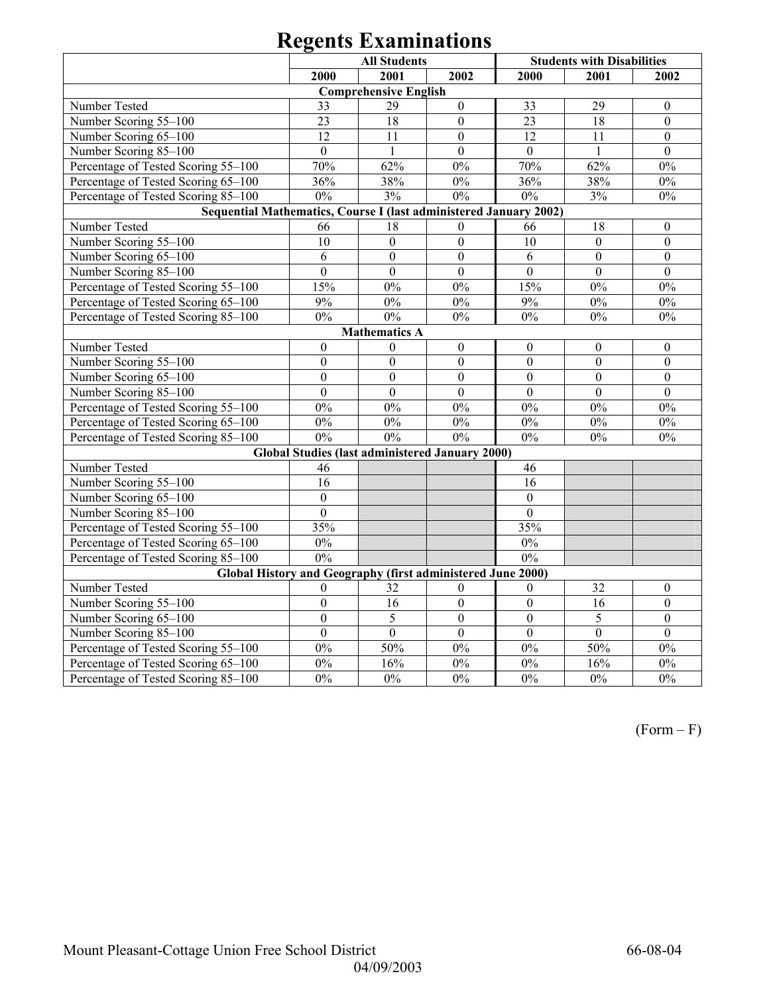|                                                                           | <b>Students with Disabilities</b> |                                                        |                  |                  |                  |                  |  |  |  |
|---------------------------------------------------------------------------|-----------------------------------|--------------------------------------------------------|------------------|------------------|------------------|------------------|--|--|--|
|                                                                           | 2000                              | <b>All Students</b><br>2001                            | 2002             | 2000             | 2001             | 2002             |  |  |  |
|                                                                           |                                   | <b>Comprehensive English</b>                           |                  |                  |                  |                  |  |  |  |
| Number Tested                                                             | 33                                | 29                                                     | $\boldsymbol{0}$ | 33               | 29               | $\boldsymbol{0}$ |  |  |  |
| Number Scoring 55-100                                                     | 23                                | 18                                                     | $\overline{0}$   | 23               | 18               | $\mathbf{0}$     |  |  |  |
| Number Scoring 65-100                                                     | 12                                | 11                                                     | $\theta$         | 12               | 11               | $\Omega$         |  |  |  |
| Number Scoring 85-100                                                     | $\mathbf{0}$                      | 1                                                      | $\mathbf{0}$     | $\mathbf{0}$     | $\mathbf{1}$     | $\mathbf{0}$     |  |  |  |
| Percentage of Tested Scoring 55-100                                       | 70%                               | 62%                                                    | $0\%$            | 70%              | 62%              | $0\%$            |  |  |  |
| Percentage of Tested Scoring 65-100                                       | 36%                               | 38%                                                    | $0\%$            | 36%              | 38%              | $0\%$            |  |  |  |
| Percentage of Tested Scoring 85-100                                       | $0\%$                             | 3%                                                     | $0\%$            | $0\%$            | 3%               | $0\%$            |  |  |  |
| Sequential Mathematics, Course I (last administered January 2002)         |                                   |                                                        |                  |                  |                  |                  |  |  |  |
| Number Tested<br>66<br>18<br>66<br>18<br>$\boldsymbol{0}$<br>$\mathbf{0}$ |                                   |                                                        |                  |                  |                  |                  |  |  |  |
| Number Scoring 55-100                                                     | 10                                | $\overline{0}$                                         | $\overline{0}$   | 10               | $\mathbf{0}$     | $\overline{0}$   |  |  |  |
| Number Scoring 65-100                                                     | 6                                 | $\overline{0}$                                         | $\mathbf{0}$     | 6                | $\boldsymbol{0}$ | $\boldsymbol{0}$ |  |  |  |
| Number Scoring 85-100                                                     | $\mathbf{0}$                      | $\mathbf{0}$                                           | $\mathbf{0}$     | $\boldsymbol{0}$ | $\mathbf{0}$     | $\mathbf{0}$     |  |  |  |
| Percentage of Tested Scoring 55-100                                       | 15%                               | $0\%$                                                  | $0\%$            | 15%              | $0\%$            | $0\%$            |  |  |  |
| Percentage of Tested Scoring 65-100                                       | 9%                                | 0%                                                     | 0%               | 9%               | $0\%$            | 0%               |  |  |  |
| Percentage of Tested Scoring 85-100                                       | $0\%$                             | 0%                                                     | $0\%$            | $0\%$            | $0\%$            | $0\%$            |  |  |  |
| <b>Mathematics A</b>                                                      |                                   |                                                        |                  |                  |                  |                  |  |  |  |
| Number Tested                                                             | $\boldsymbol{0}$                  | $\mathbf{0}$                                           | $\boldsymbol{0}$ | $\boldsymbol{0}$ | $\boldsymbol{0}$ | $\boldsymbol{0}$ |  |  |  |
| Number Scoring 55-100                                                     | $\mathbf{0}$                      | $\overline{0}$                                         | $\mathbf{0}$     | $\mathbf{0}$     | $\mathbf{0}$     | $\mathbf{0}$     |  |  |  |
| Number Scoring 65-100                                                     | $\mathbf{0}$                      | $\overline{0}$                                         | $\boldsymbol{0}$ | $\boldsymbol{0}$ | $\mathbf{0}$     | $\mathbf{0}$     |  |  |  |
| Number Scoring 85-100                                                     | $\overline{0}$                    | $\overline{0}$                                         | $\mathbf{0}$     | $\mathbf{0}$     | $\mathbf{0}$     | $\mathbf{0}$     |  |  |  |
| Percentage of Tested Scoring 55-100                                       | $0\%$                             | $0\%$                                                  | $0\%$            | $0\%$            | $0\%$            | $0\%$            |  |  |  |
| Percentage of Tested Scoring 65-100                                       | $0\%$                             | $0\%$                                                  | $0\%$            | $0\%$            | $0\%$            | $0\%$            |  |  |  |
| Percentage of Tested Scoring 85-100                                       | 0%                                | 0%                                                     | 0%               | $0\%$            | $0\%$            | $0\%$            |  |  |  |
|                                                                           |                                   | <b>Global Studies (last administered January 2000)</b> |                  |                  |                  |                  |  |  |  |
| Number Tested                                                             | 46                                |                                                        |                  | 46               |                  |                  |  |  |  |
| Number Scoring 55-100                                                     | 16                                |                                                        |                  | 16               |                  |                  |  |  |  |
| Number Scoring 65-100                                                     | $\overline{0}$                    |                                                        |                  | $\boldsymbol{0}$ |                  |                  |  |  |  |
| Number Scoring 85-100                                                     | $\overline{0}$                    |                                                        |                  | $\overline{0}$   |                  |                  |  |  |  |
| Percentage of Tested Scoring 55-100                                       | 35%                               |                                                        |                  | 35%              |                  |                  |  |  |  |
| Percentage of Tested Scoring 65-100                                       | $0\%$                             |                                                        |                  | $0\%$            |                  |                  |  |  |  |
| Percentage of Tested Scoring 85-100                                       | 0%                                |                                                        |                  | 0%               |                  |                  |  |  |  |
| Global History and Geography (first administered June 2000)               |                                   |                                                        |                  |                  |                  |                  |  |  |  |
| Number Tested                                                             | $\theta$                          | 32                                                     | $\mathbf{0}$     | $\mathbf{0}$     | 32               | $\mathbf{0}$     |  |  |  |
| Number Scoring 55-100                                                     | $\boldsymbol{0}$                  | 16                                                     | $\boldsymbol{0}$ | $\boldsymbol{0}$ | $\overline{16}$  | $\boldsymbol{0}$ |  |  |  |
| Number Scoring 65-100                                                     | $\overline{0}$                    | 5                                                      | $\overline{0}$   | $\overline{0}$   | 5                | $\overline{0}$   |  |  |  |
| Number Scoring 85-100                                                     | $\overline{0}$                    | $\overline{0}$                                         | $\overline{0}$   | $\overline{0}$   | $\overline{0}$   | $\overline{0}$   |  |  |  |
| Percentage of Tested Scoring 55-100                                       | 0%                                | 50%                                                    | $0\%$            | $0\%$            | 50%              | 0%               |  |  |  |
| Percentage of Tested Scoring 65-100                                       | 0%                                | 16%                                                    | $0\%$            | $0\%$            | 16%              | $0\%$            |  |  |  |
| Percentage of Tested Scoring 85-100                                       | 0%                                | 0%                                                     | 0%               | 0%               | 0%               | 0%               |  |  |  |

 $(Form - F)$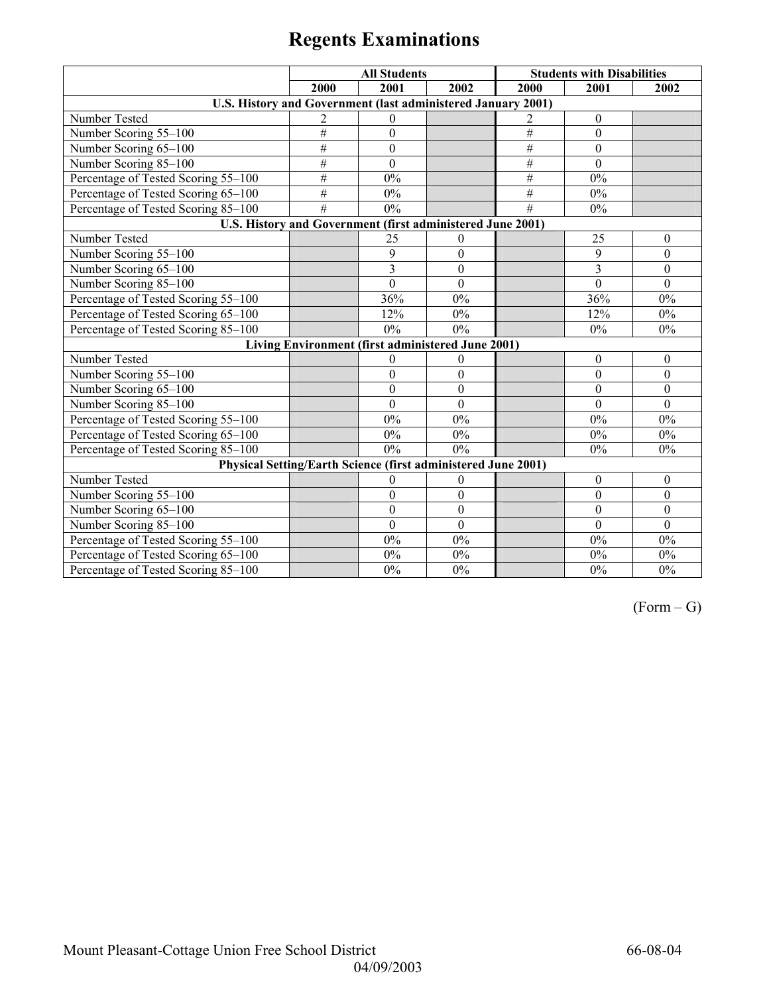|                                                                | <b>All Students</b>                               |                  |                  | <b>Students with Disabilities</b> |                  |                  |
|----------------------------------------------------------------|---------------------------------------------------|------------------|------------------|-----------------------------------|------------------|------------------|
|                                                                | 2000                                              | 2001             | 2002             | 2000                              | 2001             | 2002             |
| U.S. History and Government (last administered January 2001)   |                                                   |                  |                  |                                   |                  |                  |
| Number Tested                                                  | 2                                                 | $\theta$         |                  | 2                                 | $\boldsymbol{0}$ |                  |
| Number Scoring 55-100                                          | #                                                 | $\boldsymbol{0}$ |                  | #                                 | $\boldsymbol{0}$ |                  |
| Number Scoring 65-100                                          | #                                                 | $\mathbf{0}$     |                  | $\overline{\#}$                   | $\mathbf{0}$     |                  |
| Number Scoring 85-100                                          | #                                                 | $\mathbf{0}$     |                  | $\overline{\#}$                   | $\overline{0}$   |                  |
| Percentage of Tested Scoring 55-100                            | #                                                 | $0\%$            |                  | $\#$                              | 0%               |                  |
| Percentage of Tested Scoring 65-100                            | #                                                 | $0\%$            |                  | #                                 | 0%               |                  |
| Percentage of Tested Scoring 85-100                            | #                                                 | $0\%$            |                  | #                                 | 0%               |                  |
| U.S. History and Government (first administered June 2001)     |                                                   |                  |                  |                                   |                  |                  |
| Number Tested                                                  |                                                   | 25               | $\theta$         |                                   | 25               | $\theta$         |
| Number Scoring 55-100                                          |                                                   | 9                | $\boldsymbol{0}$ |                                   | 9                | $\boldsymbol{0}$ |
| Number Scoring 65-100                                          |                                                   | 3                | $\boldsymbol{0}$ |                                   | 3                | $\boldsymbol{0}$ |
| Number Scoring 85-100                                          |                                                   | $\mathbf{0}$     | $\mathbf{0}$     |                                   | $\mathbf{0}$     | $\mathbf{0}$     |
| Percentage of Tested Scoring 55-100                            |                                                   | 36%              | $0\%$            |                                   | 36%              | $0\%$            |
| Percentage of Tested Scoring 65-100                            |                                                   | 12%              | $0\%$            |                                   | 12%              | $0\%$            |
| Percentage of Tested Scoring 85-100<br>$0\%$<br>0%<br>0%<br>0% |                                                   |                  |                  |                                   |                  |                  |
|                                                                | Living Environment (first administered June 2001) |                  |                  |                                   |                  |                  |
| Number Tested                                                  |                                                   | $\theta$         | $\theta$         |                                   | $\boldsymbol{0}$ | $\boldsymbol{0}$ |
| Number Scoring 55-100                                          |                                                   | $\boldsymbol{0}$ | $\boldsymbol{0}$ |                                   | $\mathbf{0}$     | $\theta$         |
| Number Scoring 65-100                                          |                                                   | $\theta$         | $\mathbf{0}$     |                                   | $\mathbf{0}$     | $\theta$         |
| Number Scoring 85-100                                          |                                                   | $\mathbf{0}$     | $\overline{0}$   |                                   | $\overline{0}$   | $\mathbf{0}$     |
| Percentage of Tested Scoring 55-100                            |                                                   | $0\%$            | $0\%$            |                                   | 0%               | $0\%$            |
| Percentage of Tested Scoring 65-100                            |                                                   | 0%               | $0\%$            |                                   | 0%               | $0\%$            |
| Percentage of Tested Scoring 85-100                            |                                                   | 0%               | 0%               |                                   | 0%               | $0\%$            |
| Physical Setting/Earth Science (first administered June 2001)  |                                                   |                  |                  |                                   |                  |                  |
| Number Tested                                                  |                                                   | $\mathbf{0}$     | $\bf{0}$         |                                   | $\boldsymbol{0}$ | $\boldsymbol{0}$ |
| Number Scoring 55-100                                          |                                                   | $\boldsymbol{0}$ | $\boldsymbol{0}$ |                                   | $\boldsymbol{0}$ | $\mathbf{0}$     |
| Number Scoring 65-100                                          |                                                   | $\boldsymbol{0}$ | $\boldsymbol{0}$ |                                   | $\mathbf{0}$     | $\mathbf{0}$     |
| Number Scoring 85-100                                          |                                                   | $\mathbf{0}$     | $\boldsymbol{0}$ |                                   | $\mathbf{0}$     | $\mathbf{0}$     |
| Percentage of Tested Scoring 55-100                            |                                                   | 0%               | $0\%$            |                                   | 0%               | $0\%$            |
| Percentage of Tested Scoring 65-100                            |                                                   | $0\%$            | $0\%$            |                                   | 0%               | 0%               |
| Percentage of Tested Scoring 85-100                            |                                                   | 0%               | 0%               |                                   | 0%               | 0%               |

 $(Form - G)$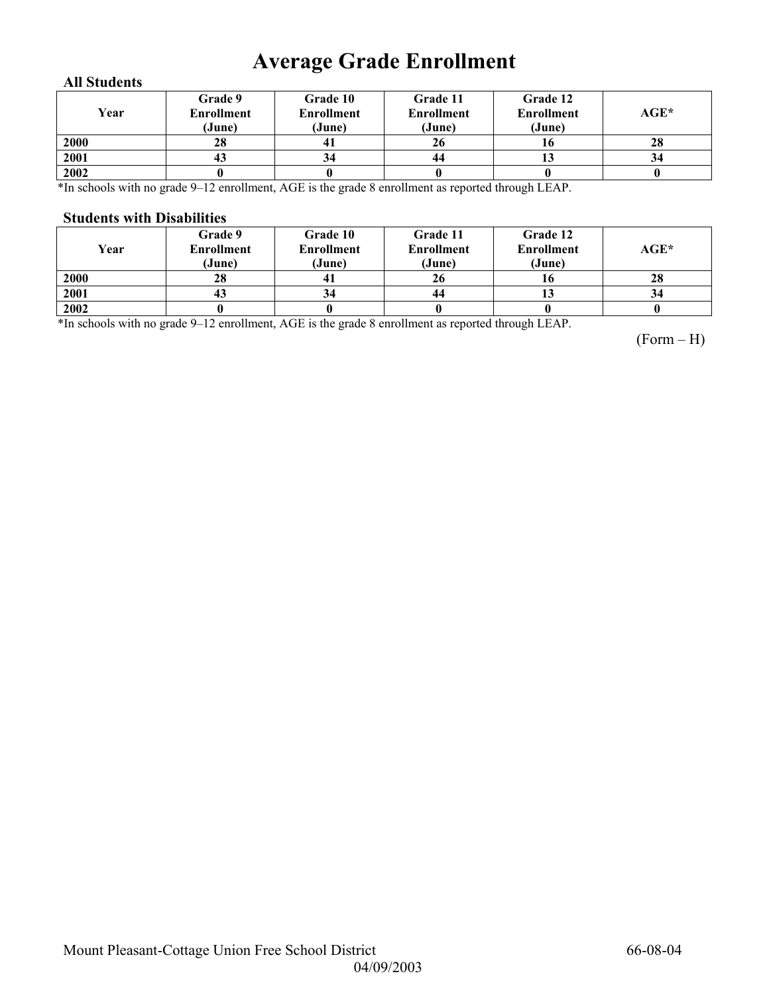## **Average Grade Enrollment**

### **All Students**

| Year | Grade 9<br><b>Enrollment</b><br>(June) | Grade 10<br><b>Enrollment</b><br>(June) | Grade 11<br><b>Enrollment</b><br>(June) | Grade 12<br><b>Enrollment</b><br>(June) | $AGE^*$ |
|------|----------------------------------------|-----------------------------------------|-----------------------------------------|-----------------------------------------|---------|
| 2000 | 28                                     | 41                                      | 26                                      | 10                                      | 28      |
| 2001 | 43                                     | 34                                      | 44                                      | IJ                                      | 34      |
| 2002 |                                        |                                         |                                         |                                         |         |

\*In schools with no grade 9–12 enrollment, AGE is the grade 8 enrollment as reported through LEAP.

#### **Students with Disabilities**

| Year | Grade 9<br><b>Enrollment</b><br>(June) | <b>Grade 10</b><br><b>Enrollment</b><br>(June) | Grade 11<br><b>Enrollment</b><br>(June) | Grade 12<br><b>Enrollment</b><br>(June) | $AGE^*$ |
|------|----------------------------------------|------------------------------------------------|-----------------------------------------|-----------------------------------------|---------|
| 2000 | 28                                     |                                                | 26                                      | 10                                      | 28      |
| 2001 | 43                                     |                                                | 44                                      | IJ                                      | 34      |
| 2002 |                                        |                                                |                                         |                                         |         |

\*In schools with no grade 9–12 enrollment, AGE is the grade 8 enrollment as reported through LEAP.

(Form – H)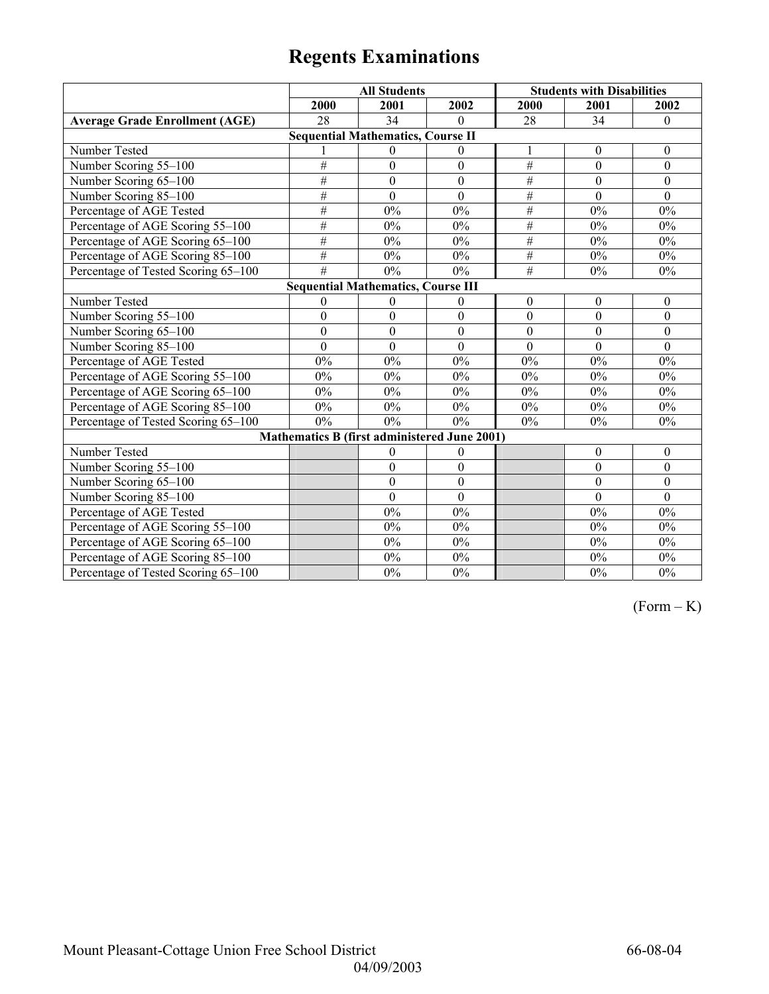|                                           | <b>All Students</b> |                                              |                  | <b>Students with Disabilities</b> |                  |                  |  |  |
|-------------------------------------------|---------------------|----------------------------------------------|------------------|-----------------------------------|------------------|------------------|--|--|
|                                           | 2000                | 2001                                         | 2002             | 2000                              | 2001             | 2002             |  |  |
| <b>Average Grade Enrollment (AGE)</b>     | 28                  | 34                                           | $\Omega$         | 28                                | 34               | $\Omega$         |  |  |
|                                           |                     | <b>Sequential Mathematics, Course II</b>     |                  |                                   |                  |                  |  |  |
| Number Tested                             |                     | $\theta$                                     | $\theta$         | 1                                 | $\mathbf{0}$     | $\overline{0}$   |  |  |
| Number Scoring 55-100                     | #                   | $\overline{0}$                               | $\mathbf{0}$     | $\#$                              | $\mathbf{0}$     | $\mathbf{0}$     |  |  |
| Number Scoring 65-100                     | #                   | $\boldsymbol{0}$                             | $\boldsymbol{0}$ | $\#$                              | $\mathbf{0}$     | $\theta$         |  |  |
| Number Scoring 85-100                     | #                   | $\overline{0}$                               | $\overline{0}$   | $\#$                              | $\overline{0}$   | $\mathbf{0}$     |  |  |
| Percentage of AGE Tested                  | #                   | 0%                                           | 0%               | $\#$                              | 0%               | $0\%$            |  |  |
| Percentage of AGE Scoring 55-100          | #                   | 0%                                           | 0%               | $\#$                              | 0%               | $0\%$            |  |  |
| Percentage of AGE Scoring 65-100          | #                   | 0%                                           | $0\%$            | #                                 | 0%               | $0\%$            |  |  |
| Percentage of AGE Scoring 85-100          | #                   | 0%                                           | $0\%$            | $\#$                              | $0\%$            | $0\%$            |  |  |
| Percentage of Tested Scoring 65-100       | $\overline{\#}$     | 0%                                           | $0\%$            | $\overline{\#}$                   | 0%               | $0\%$            |  |  |
| <b>Sequential Mathematics, Course III</b> |                     |                                              |                  |                                   |                  |                  |  |  |
| Number Tested                             | $\theta$            | $\mathbf{0}$                                 | $\theta$         | $\boldsymbol{0}$                  | $\boldsymbol{0}$ | $\boldsymbol{0}$ |  |  |
| Number Scoring 55-100                     | $\boldsymbol{0}$    | $\mathbf{0}$                                 | $\mathbf{0}$     | $\mathbf{0}$                      | $\overline{0}$   | $\overline{0}$   |  |  |
| Number Scoring 65-100                     | $\boldsymbol{0}$    | $\boldsymbol{0}$                             | $\mathbf{0}$     | $\mathbf{0}$                      | $\theta$         | $\theta$         |  |  |
| Number Scoring 85-100                     | $\mathbf{0}$        | $\mathbf{0}$                                 | $\mathbf{0}$     | $\mathbf{0}$                      | $\mathbf{0}$     | $\mathbf{0}$     |  |  |
| Percentage of AGE Tested                  | $0\%$               | 0%                                           | $0\%$            | 0%                                | 0%               | $0\%$            |  |  |
| Percentage of AGE Scoring 55-100          | 0%                  | 0%                                           | 0%               | 0%                                | 0%               | $0\%$            |  |  |
| Percentage of AGE Scoring 65-100          | 0%                  | 0%                                           | 0%               | 0%                                | 0%               | $0\%$            |  |  |
| Percentage of AGE Scoring 85-100          | $0\%$               | $0\%$                                        | $0\%$            | 0%                                | $0\%$            | $0\%$            |  |  |
| Percentage of Tested Scoring 65-100       | 0%                  | 0%                                           | 0%               | $0\%$                             | 0%               | $0\%$            |  |  |
|                                           |                     | Mathematics B (first administered June 2001) |                  |                                   |                  |                  |  |  |
| Number Tested                             |                     | $\boldsymbol{0}$                             | $\boldsymbol{0}$ |                                   | $\boldsymbol{0}$ | $\boldsymbol{0}$ |  |  |
| Number Scoring 55-100                     |                     | $\mathbf{0}$                                 | $\boldsymbol{0}$ |                                   | $\mathbf{0}$     | $\boldsymbol{0}$ |  |  |
| Number Scoring 65-100                     |                     | $\boldsymbol{0}$                             | $\boldsymbol{0}$ |                                   | $\boldsymbol{0}$ | $\boldsymbol{0}$ |  |  |
| Number Scoring 85-100                     |                     | $\mathbf{0}$                                 | $\mathbf{0}$     |                                   | $\theta$         | $\mathbf{0}$     |  |  |
| Percentage of AGE Tested                  |                     | 0%                                           | 0%               |                                   | 0%               | $0\%$            |  |  |
| Percentage of AGE Scoring 55-100          |                     | 0%                                           | 0%               |                                   | $0\%$            | $0\%$            |  |  |
| Percentage of AGE Scoring 65-100          |                     | 0%                                           | $0\%$            |                                   | $0\%$            | $0\%$            |  |  |
| Percentage of AGE Scoring 85-100          |                     | $0\%$                                        | $0\%$            |                                   | $0\%$            | $0\%$            |  |  |
| Percentage of Tested Scoring 65-100       |                     | $0\%$                                        | $0\%$            |                                   | $0\%$            | $0\%$            |  |  |

 $(Form - K)$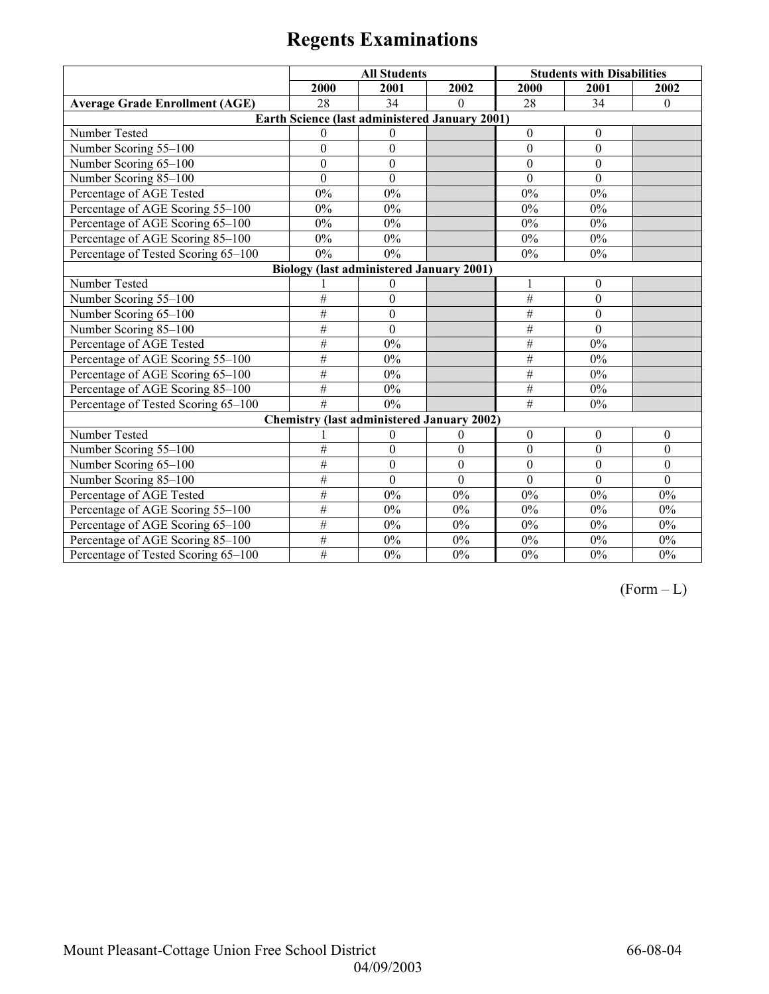|                                                 |                  | <b>All Students</b> |                                                       | <b>Students with Disabilities</b> |              |              |  |  |
|-------------------------------------------------|------------------|---------------------|-------------------------------------------------------|-----------------------------------|--------------|--------------|--|--|
|                                                 | 2000             | 2001                | 2002                                                  | 2000                              | 2001         | 2002         |  |  |
| <b>Average Grade Enrollment (AGE)</b>           | 28               | 34                  | $\Omega$                                              | 28                                | 34           | $\theta$     |  |  |
|                                                 |                  |                     | <b>Earth Science (last administered January 2001)</b> |                                   |              |              |  |  |
| Number Tested                                   | $\Omega$         | $\Omega$            |                                                       | $\theta$                          | $\theta$     |              |  |  |
| Number Scoring 55-100                           | $\boldsymbol{0}$ | $\boldsymbol{0}$    |                                                       | $\overline{0}$                    | $\mathbf{0}$ |              |  |  |
| Number Scoring 65-100                           | $\mathbf{0}$     | $\boldsymbol{0}$    |                                                       | $\theta$                          | $\mathbf{0}$ |              |  |  |
| Number Scoring 85-100                           | $\theta$         | $\theta$            |                                                       | $\theta$                          | $\Omega$     |              |  |  |
| Percentage of AGE Tested                        | 0%               | 0%                  |                                                       | 0%                                | $0\%$        |              |  |  |
| Percentage of AGE Scoring 55-100                | 0%               | 0%                  |                                                       | $0\%$                             | $0\%$        |              |  |  |
| Percentage of AGE Scoring 65-100                | 0%               | 0%                  |                                                       | $0\%$                             | $0\%$        |              |  |  |
| Percentage of AGE Scoring 85-100                | 0%               | 0%                  |                                                       | $0\%$                             | 0%           |              |  |  |
| Percentage of Tested Scoring 65-100             | 0%               | 0%                  |                                                       | $0\%$                             | $0\%$        |              |  |  |
| <b>Biology (last administered January 2001)</b> |                  |                     |                                                       |                                   |              |              |  |  |
| Number Tested                                   |                  | $\theta$            |                                                       | 1                                 | $\theta$     |              |  |  |
| Number Scoring 55-100                           | $\#$             | $\theta$            |                                                       | $\#$                              | $\theta$     |              |  |  |
| Number Scoring 65-100                           | #                | $\theta$            |                                                       | #                                 | $\Omega$     |              |  |  |
| Number Scoring 85-100                           | #                | $\boldsymbol{0}$    |                                                       | $\overline{\#}$                   | $\mathbf{0}$ |              |  |  |
| Percentage of AGE Tested                        | #                | 0%                  |                                                       | $\#$                              | 0%           |              |  |  |
| Percentage of AGE Scoring 55-100                | #                | $0\%$               |                                                       | #                                 | $0\%$        |              |  |  |
| Percentage of AGE Scoring 65-100                | $\overline{\#}$  | $0\%$               |                                                       | #                                 | $0\%$        |              |  |  |
| Percentage of AGE Scoring 85-100                | #                | $0\%$               |                                                       | $\overline{\#}$                   | 0%           |              |  |  |
| Percentage of Tested Scoring 65-100             | #                | 0%                  |                                                       | #                                 | $0\%$        |              |  |  |
|                                                 |                  |                     | <b>Chemistry (last administered January 2002)</b>     |                                   |              |              |  |  |
| Number Tested                                   |                  | $\theta$            | $\theta$                                              | $\theta$                          | $\theta$     | $\theta$     |  |  |
| Number Scoring 55-100                           | $\#$             | $\mathbf{0}$        | $\mathbf{0}$                                          | $\mathbf{0}$                      | $\theta$     | $\theta$     |  |  |
| Number Scoring 65-100                           | #                | $\mathbf{0}$        | $\mathbf{0}$                                          | $\theta$                          | $\theta$     | $\theta$     |  |  |
| Number Scoring 85-100                           | #                | $\mathbf{0}$        | $\theta$                                              | $\theta$                          | $\theta$     | $\mathbf{0}$ |  |  |
| Percentage of AGE Tested                        | $\#$             | 0%                  | 0%                                                    | $0\%$                             | 0%           | 0%           |  |  |
| Percentage of AGE Scoring 55-100                | #                | $0\%$               | 0%                                                    | 0%                                | 0%           | 0%           |  |  |
| Percentage of AGE Scoring 65-100                | #                | $0\%$               | $0\%$                                                 | $0\%$                             | $0\%$        | $0\%$        |  |  |
| Percentage of AGE Scoring 85-100                | #                | $0\%$               | 0%                                                    | $0\%$                             | $0\%$        | $0\%$        |  |  |
| Percentage of Tested Scoring 65-100             | #                | 0%                  | 0%                                                    | $0\%$                             | $0\%$        | 0%           |  |  |

 $(Form - L)$